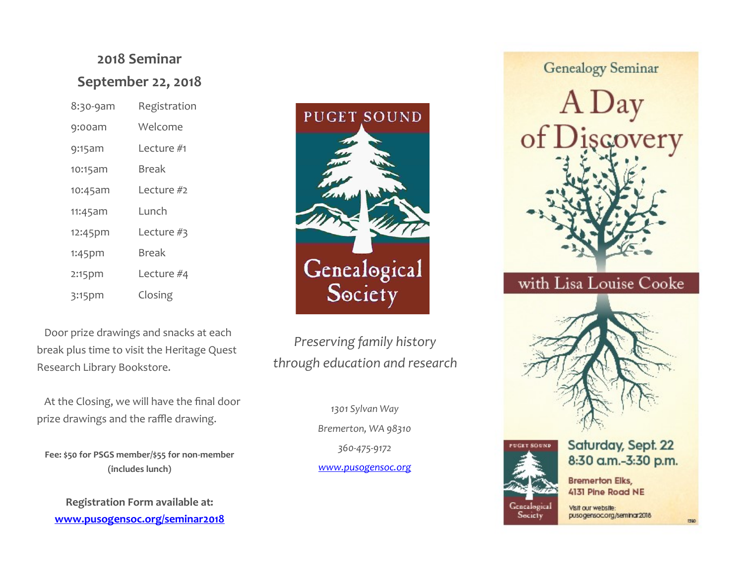# **2018 Seminar September 22, 2018**

| 8:30-9am  | Registration |
|-----------|--------------|
| $9:00$ am | Welcome      |
| 9:15am    | Lecture #1   |
| 10:15am   | Break        |
| 10:45am   | Lecture #2   |
| 11:45am   | Lunch        |
| 12:45pm   | Lecture #3   |
| $1:45$ pm | Break        |
| 2:15pm    | Lecture #4   |
| $3:15$ pm | Closing      |

 Door prize drawings and snacks at each break plus time to visit the Heritage Quest Research Library Bookstore.

 At the Closing, we will have the final door prize drawings and the raffle drawing.

**Fee: \$50 for PSGS member/\$55 for non-member (includes lunch)**

**Registration Form available at: [www.pusogensoc.org/seminar2018](http://www.pusogensoc.org/psgs/wp-content/uploads/2016/05/Seminar-2016-registration-form-FINAL-Apr.pdf)**



*Preserving family history through education and research*

> *1301 Sylvan Way Bremerton, WA 98310 360-475-9172 [www.pusogensoc.org](http://www.pusogensoc.org)*

**Genealogy Seminar** 



# with Lisa Louise Cooke





#### Saturday, Sept. 22 8:30 a.m.-3:30 p.m.

**Bremerton Elks,** 4131 Pine Road NE

Secicty

Visit our website: pusogensoc.org/seminar2018

1590